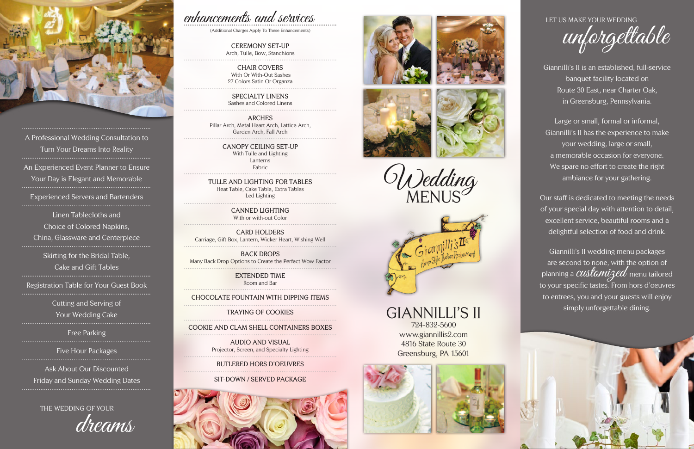Giannilli's II is an established, full-service banquet facility located on Route 30 East, near Charter Oak, in Greensburg, Pennsylvania.

Large or small, formal or informal, Giannilli's II has the experience to make your wedding, large or small, a memorable occasion for everyone. We spare no effort to create the right ambiance for your gathering.

Our staff is dedicated to meeting the needs of your special day with attention to detail, excellent service, beautiful rooms and a delightful selection of food and drink.

Giannilli's II wedding menu packages are second to none, with the option of planning a  $\emph{cutstamize}d$  menu tailored to your specific tastes. From hors d'oeuvres to entrees, you and your guests will enjoy simply unforgettable dining.



......................................................................

Experienced Servers and Bartenders

Cutting and Serving of Your Wedding Cake

Free Parking

Ask About Our Discounted Friday and Sunday Wedding Dates



A Professional Wedding Consultation to Turn Your Dreams Into Reality ...................................................................... An Experienced Event Planner to Ensure Your Day is Elegant and Memorable ......................................................................

Linen Tablecloths and Choice of Colored Napkins, China, Glassware and Centerpiece ......................................................................

> Skirting for the Bridal Table, Cake and Gift Tables ......................................................................

Registration Table for Your Guest Book

Five Hour Packages ......................................................................

GIANNILLI'S II 724-832-5600 www.giannillis2.com 4816 State Route 30 Greensburg, PA 15601



LET US MAKE YOUR WEDDING

unforgettable

THE WEDDING OF YOUR

dreams

# enhancements and services

(Additional Charges Apply To These Enhancements)

**CEREMONY SET-UP** Arch, Tulle, Bow, Stanchions

**CHAIR COVERS** With Or With-Out Sashes 27 Colors Satin Or Organza

**SPECIALTY LINENS** Sashes and Colored Linens

**ARCHES** Pillar Arch, Metal Heart Arch, Lattice Arch, Garden Arch, Fall Arch

> **CANOPY CEILING SET-UP** With Tulle and Lighting Lanterns Fabric

**TULLE AND LIGHTING FOR TABLES** Heat Table, Cake Table, Extra Tables Led Lighting

> **CANNED LIGHTING** With or with-out Color

**CARD HOLDERS** Carriage, Gift Box, Lantern, Wicker Heart, Wishing Well

**BACK DROPS** Many Back Drop Options to Create the Perfect Wow Factor

> **EXTENDED TIME** Room and Bar

**CHOCOLATE FOUNTAIN WITH DIPPING ITEMS**

**TRAYING OF COOKIES**

# **COOKIE AND CLAM SHELL CONTAINERS BOXES**

**AUDIO AND VISUAL** Projector, Screen, and Specialty Lighting

# **BUTLERED HORS D'OEUVRES**

## **SIT-DOWN / SERVED PACKAGE**











Wedding